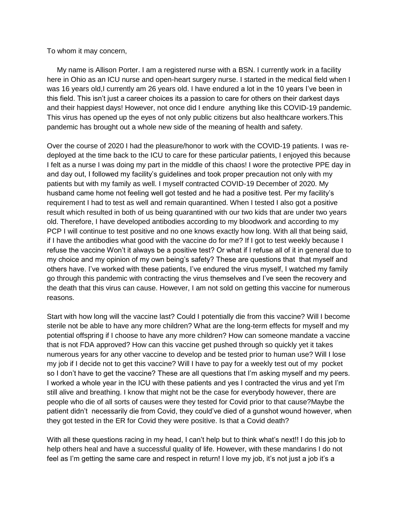To whom it may concern,

 My name is Allison Porter. I am a registered nurse with a BSN. I currently work in a facility here in Ohio as an ICU nurse and open-heart surgery nurse. I started in the medical field when I was 16 years old, I currently am 26 years old. I have endured a lot in the 10 years I've been in this field. This isn't just a career choices its a passion to care for others on their darkest days and their happiest days! However, not once did I endure anything like this COVID-19 pandemic. This virus has opened up the eyes of not only public citizens but also healthcare workers.This pandemic has brought out a whole new side of the meaning of health and safety.

Over the course of 2020 I had the pleasure/honor to work with the COVID-19 patients. I was redeployed at the time back to the ICU to care for these particular patients, I enjoyed this because I felt as a nurse I was doing my part in the middle of this chaos! I wore the protective PPE day in and day out, I followed my facility's guidelines and took proper precaution not only with my patients but with my family as well. I myself contracted COVID-19 December of 2020. My husband came home not feeling well got tested and he had a positive test. Per my facility's requirement I had to test as well and remain quarantined. When I tested I also got a positive result which resulted in both of us being quarantined with our two kids that are under two years old. Therefore, I have developed antibodies according to my bloodwork and according to my PCP I will continue to test positive and no one knows exactly how long. With all that being said, if I have the antibodies what good with the vaccine do for me? If I got to test weekly because I refuse the vaccine Won't it always be a positive test? Or what if I refuse all of it in general due to my choice and my opinion of my own being's safety? These are questions that that myself and others have. I've worked with these patients, I've endured the virus myself, I watched my family go through this pandemic with contracting the virus themselves and I've seen the recovery and the death that this virus can cause. However, I am not sold on getting this vaccine for numerous reasons.

Start with how long will the vaccine last? Could I potentially die from this vaccine? Will I become sterile not be able to have any more children? What are the long-term effects for myself and my potential offspring if I choose to have any more children? How can someone mandate a vaccine that is not FDA approved? How can this vaccine get pushed through so quickly yet it takes numerous years for any other vaccine to develop and be tested prior to human use? Will I lose my job if I decide not to get this vaccine? Will I have to pay for a weekly test out of my pocket so I don't have to get the vaccine? These are all questions that I'm asking myself and my peers. I worked a whole year in the ICU with these patients and yes I contracted the virus and yet I'm still alive and breathing. I know that might not be the case for everybody however, there are people who die of all sorts of causes were they tested for Covid prior to that cause?Maybe the patient didn't necessarily die from Covid, they could've died of a gunshot wound however, when they got tested in the ER for Covid they were positive. Is that a Covid death?

With all these questions racing in my head, I can't help but to think what's next!! I do this job to help others heal and have a successful quality of life. However, with these mandarins I do not feel as I'm getting the same care and respect in return! I love my job, it's not just a job it's a